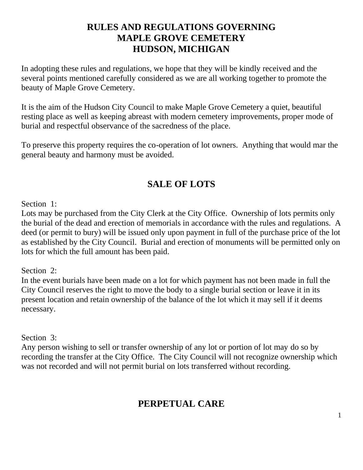#### **RULES AND REGULATIONS GOVERNING MAPLE GROVE CEMETERY HUDSON, MICHIGAN**

In adopting these rules and regulations, we hope that they will be kindly received and the several points mentioned carefully considered as we are all working together to promote the beauty of Maple Grove Cemetery.

It is the aim of the Hudson City Council to make Maple Grove Cemetery a quiet, beautiful resting place as well as keeping abreast with modern cemetery improvements, proper mode of burial and respectful observance of the sacredness of the place.

To preserve this property requires the co-operation of lot owners. Anything that would mar the general beauty and harmony must be avoided.

## **SALE OF LOTS**

Section 1:

Lots may be purchased from the City Clerk at the City Office. Ownership of lots permits only the burial of the dead and erection of memorials in accordance with the rules and regulations. A deed (or permit to bury) will be issued only upon payment in full of the purchase price of the lot as established by the City Council. Burial and erection of monuments will be permitted only on lots for which the full amount has been paid.

Section 2:

In the event burials have been made on a lot for which payment has not been made in full the City Council reserves the right to move the body to a single burial section or leave it in its present location and retain ownership of the balance of the lot which it may sell if it deems necessary.

Section 3:

Any person wishing to sell or transfer ownership of any lot or portion of lot may do so by recording the transfer at the City Office. The City Council will not recognize ownership which was not recorded and will not permit burial on lots transferred without recording.

# **PERPETUAL CARE**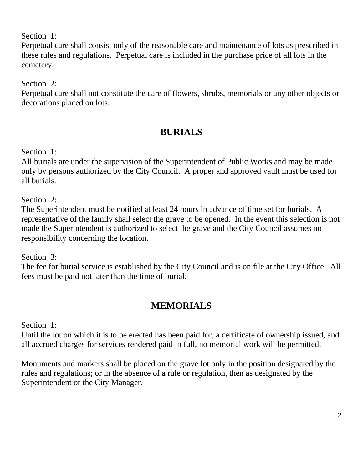Section 1:

Perpetual care shall consist only of the reasonable care and maintenance of lots as prescribed in these rules and regulations. Perpetual care is included in the purchase price of all lots in the cemetery.

Section 2:

Perpetual care shall not constitute the care of flowers, shrubs, memorials or any other objects or decorations placed on lots.

#### **BURIALS**

Section 1:

All burials are under the supervision of the Superintendent of Public Works and may be made only by persons authorized by the City Council. A proper and approved vault must be used for all burials.

Section 2:

The Superintendent must be notified at least 24 hours in advance of time set for burials. A representative of the family shall select the grave to be opened. In the event this selection is not made the Superintendent is authorized to select the grave and the City Council assumes no responsibility concerning the location.

Section 3:

The fee for burial service is established by the City Council and is on file at the City Office. All fees must be paid not later than the time of burial.

## **MEMORIALS**

Section 1:

Until the lot on which it is to be erected has been paid for, a certificate of ownership issued, and all accrued charges for services rendered paid in full, no memorial work will be permitted.

Monuments and markers shall be placed on the grave lot only in the position designated by the rules and regulations; or in the absence of a rule or regulation, then as designated by the Superintendent or the City Manager.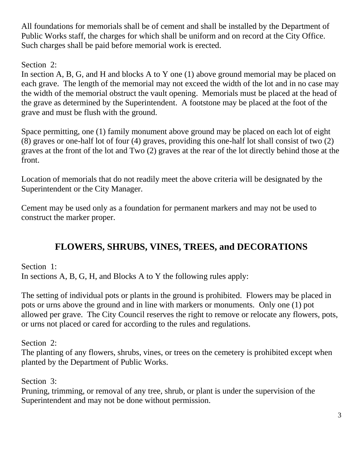All foundations for memorials shall be of cement and shall be installed by the Department of Public Works staff, the charges for which shall be uniform and on record at the City Office. Such charges shall be paid before memorial work is erected.

Section 2:

In section A, B, G, and H and blocks A to Y one (1) above ground memorial may be placed on each grave. The length of the memorial may not exceed the width of the lot and in no case may the width of the memorial obstruct the vault opening. Memorials must be placed at the head of the grave as determined by the Superintendent. A footstone may be placed at the foot of the grave and must be flush with the ground.

Space permitting, one (1) family monument above ground may be placed on each lot of eight (8) graves or one-half lot of four (4) graves, providing this one-half lot shall consist of two (2) graves at the front of the lot and Two (2) graves at the rear of the lot directly behind those at the front.

Location of memorials that do not readily meet the above criteria will be designated by the Superintendent or the City Manager.

Cement may be used only as a foundation for permanent markers and may not be used to construct the marker proper.

# **FLOWERS, SHRUBS, VINES, TREES, and DECORATIONS**

Section 1:

In sections A, B, G, H, and Blocks A to Y the following rules apply:

The setting of individual pots or plants in the ground is prohibited. Flowers may be placed in pots or urns above the ground and in line with markers or monuments. Only one (1) pot allowed per grave. The City Council reserves the right to remove or relocate any flowers, pots, or urns not placed or cared for according to the rules and regulations.

Section 2:

The planting of any flowers, shrubs, vines, or trees on the cemetery is prohibited except when planted by the Department of Public Works.

Section 3:

Pruning, trimming, or removal of any tree, shrub, or plant is under the supervision of the Superintendent and may not be done without permission.